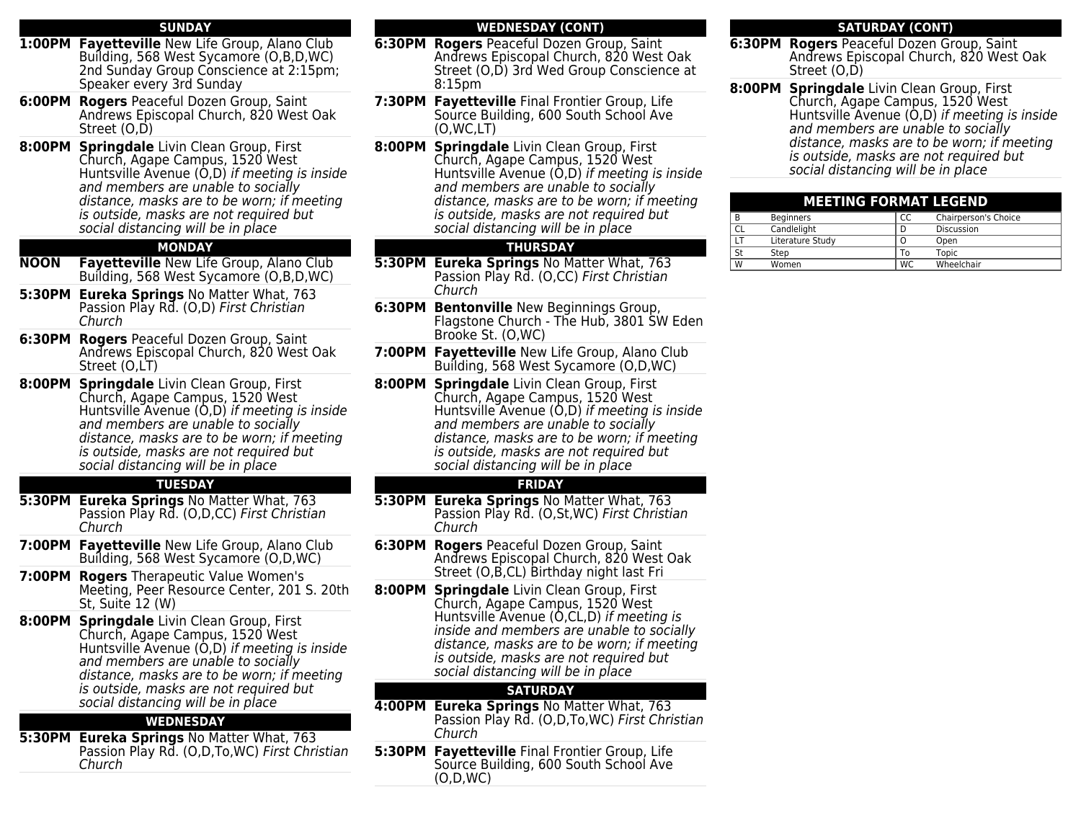#### **SUNDAY**

- **1:00PM Fayetteville** New Life Group, Alano Club Building, 568 West Sycamore (O,B,D,WC) 2nd Sunday Group Conscience at 2:15pm; Speaker every 3rd Sunday
- **6:00PM Rogers** Peaceful Dozen Group, Saint Andrews Episcopal Church, 820 West Oak Street (O,D)
- **8:00PM Springdale** Livin Clean Group, First Church, Agape Campus, 1520 West Huntsville Avenue (O,D) if meeting is inside and members are unable to socially distance, masks are to be worn; if meeting is outside, masks are not required but social distancing will be in place

# **MONDAY**

- **NOON Fayetteville** New Life Group, Alano Club Building, 568 West Sycamore (O,B,D,WC)
- **5:30PM Eureka Springs** No Matter What, 763 Passion Play Rd. (O,D) First Christian Church
- **6:30PM Rogers** Peaceful Dozen Group, Saint Andrews Episcopal Church, 820 West Oak Street (O,LT)
- **8:00PM Springdale** Livin Clean Group, First Church, Agape Campus, 1520 West Huntsville Avenue (O,D) if meeting is inside and members are unable to socially distance, masks are to be worn; if meeting is outside, masks are not required but social distancing will be in place

### **TUESDAY**

- **5:30PM Eureka Springs** No Matter What, 763 Passion Play Rd. (O,D,CC) First Christian Church
- **7:00PM Fayetteville** New Life Group, Alano Club Building, 568 West Sycamore (O,D,WC)
- **7:00PM Rogers** Therapeutic Value Women's Meeting, Peer Resource Center, 201 S. 20th St, Suite 12 (W)
- **8:00PM Springdale** Livin Clean Group, First Church, Agape Campus, 1520 West Huntsville Avenue (O,D) if meeting is inside and members are unable to socially distance, masks are to be worn; if meeting is outside, masks are not required but social distancing will be in place

### **WEDNESDAY**

**5:30PM Eureka Springs** No Matter What, 763 Passion Play Rd. (O,D,To,WC) First Christian Church

# **WEDNESDAY (CONT)**

- **6:30PM Rogers** Peaceful Dozen Group, Saint Andrews Episcopal Church, 820 West Oak Street (O,D) 3rd Wed Group Conscience at 8:15pm
- **7:30PM Fayetteville** Final Frontier Group, Life Source Building, 600 South School Ave (O,WC,LT)
- **8:00PM Springdale** Livin Clean Group, First Church, Agape Campus, 1520 West Huntsville Avenue (O,D) if meeting is inside and members are unable to socially distance, masks are to be worn; if meeting is outside, masks are not required but social distancing will be in place

# **THURSDAY**

- **5:30PM Eureka Springs** No Matter What, 763 Passion Play Rd. (O,CC) First Christian Church
- **6:30PM Bentonville** New Beginnings Group, Flagstone Church - The Hub, 3801 SW Eden Brooke St. (O,WC)
- **7:00PM Fayetteville** New Life Group, Alano Club Building, 568 West Sycamore (O,D,WC)
- **8:00PM Springdale** Livin Clean Group, First Church, Agape Campus, 1520 West Huntsville Avenue (O,D) if meeting is inside and members are unable to socially distance, masks are to be worn; if meeting is outside, masks are not required but social distancing will be in place

# **FRIDAY**

- **5:30PM Eureka Springs** No Matter What, 763 Passion Play Rd. (O,St,WC) First Christian Church
- **6:30PM Rogers** Peaceful Dozen Group, Saint Andrews Episcopal Church, 820 West Oak Street (O,B,CL) Birthday night last Fri
- **8:00PM Springdale** Livin Clean Group, First Church, Agape Campus, 1520 West Huntsville Avenue (O,CL,D) if meeting is inside and members are unable to socially distance, masks are to be worn; if meeting is outside, masks are not required but social distancing will be in place

# **SATURDAY**

- **4:00PM Eureka Springs** No Matter What, 763 Passion Play Rd. (O,D,To,WC) First Christian Church
- **5:30PM Fayetteville** Final Frontier Group, Life Source Building, 600 South School Ave (O,D,WC)

### **SATURDAY (CONT)**

- **6:30PM Rogers** Peaceful Dozen Group, Saint Andrews Episcopal Church, 820 West Oak Street (O.D)
- **8:00PM Springdale** Livin Clean Group, First Church, Agape Campus, 1520 West Huntsville Avenue (O,D) if meeting is inside and members are unable to socially distance, masks are to be worn; if meeting is outside, masks are not required but social distancing will be in place

| <b>MEETING FORMAT LEGEND</b> |                  |           |                      |
|------------------------------|------------------|-----------|----------------------|
| B                            | <b>Beginners</b> | CC        | Chairperson's Choice |
| CL                           | Candlelight      | D         | Discussion           |
| LT                           | Literature Study | Ο         | Open                 |
| St                           | Step             | Т٥        | <b>Topic</b>         |
| W                            | Women            | <b>WC</b> | Wheelchair           |